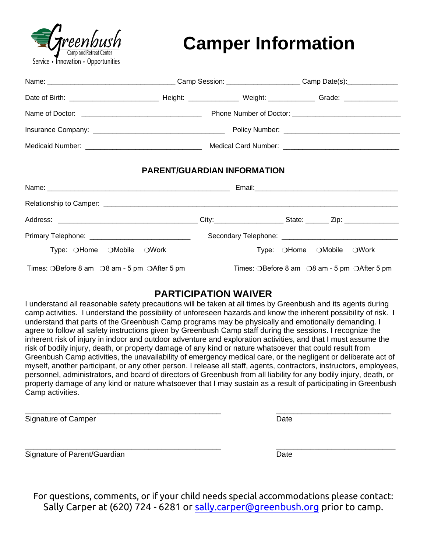

# **Camper Information**

|                                                                  |                                    | Medicaid Number: __________________________________ Medical Card Number: ___________________________ |  |  |  |
|------------------------------------------------------------------|------------------------------------|------------------------------------------------------------------------------------------------------|--|--|--|
|                                                                  | <b>PARENT/GUARDIAN INFORMATION</b> |                                                                                                      |  |  |  |
|                                                                  |                                    |                                                                                                      |  |  |  |
|                                                                  |                                    |                                                                                                      |  |  |  |
|                                                                  |                                    |                                                                                                      |  |  |  |
|                                                                  |                                    |                                                                                                      |  |  |  |
| Type: OHome OMobile OWork                                        |                                    | Type: OHome OMobile OWork                                                                            |  |  |  |
| Times: OBefore 8 am $\bigcirc$ 8 am - 5 pm $\bigcirc$ After 5 pm |                                    | Times: OBefore 8 am O8 am - 5 pm OAfter 5 pm                                                         |  |  |  |

### **PARTICIPATION WAIVER**

I understand all reasonable safety precautions will be taken at all times by Greenbush and its agents during camp activities. I understand the possibility of unforeseen hazards and know the inherent possibility of risk. I understand that parts of the Greenbush Camp programs may be physically and emotionally demanding. I agree to follow all safety instructions given by Greenbush Camp staff during the sessions. I recognize the inherent risk of injury in indoor and outdoor adventure and exploration activities, and that I must assume the risk of bodily injury, death, or property damage of any kind or nature whatsoever that could result from Greenbush Camp activities, the unavailability of emergency medical care, or the negligent or deliberate act of myself, another participant, or any other person. I release all staff, agents, contractors, instructors, employees, personnel, administrators, and board of directors of Greenbush from all liability for any bodily injury, death, or property damage of any kind or nature whatsoever that I may sustain as a result of participating in Greenbush Camp activities.

Signature of Camper **Date** Date **Date** 

\_\_\_\_\_\_\_\_\_\_\_\_\_\_\_\_\_\_\_\_\_\_\_\_\_\_\_\_\_\_\_\_\_\_\_\_\_\_\_\_\_\_\_\_\_\_ \_\_\_\_\_\_\_\_\_\_\_\_\_\_\_\_\_\_\_\_\_\_\_\_\_\_\_

\_\_\_\_\_\_\_\_\_\_\_\_\_\_\_\_\_\_\_\_\_\_\_\_\_\_\_\_\_\_\_\_\_\_\_\_\_\_\_\_\_\_\_\_\_\_ \_\_\_\_\_\_\_\_\_\_\_\_\_\_\_\_\_\_\_\_\_\_\_\_\_\_\_\_ Signature of Parent/Guardian Date Communication Communication Date

For questions, comments, or if your child needs special accommodations please contact: Sally Carper at (620) 724 - 6281 or [sally.carper@greenbush.org](mailto:sally.carper@greenbush.org) prior to camp.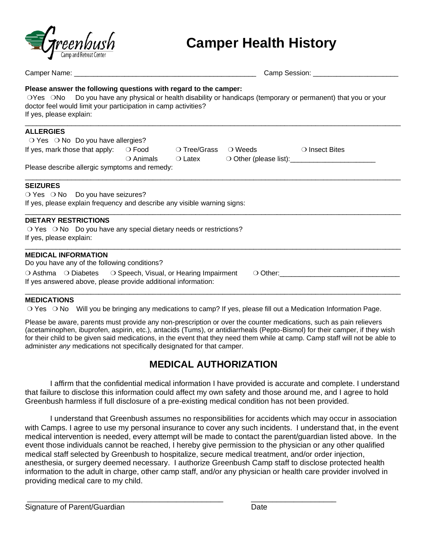

## **Camper Health History**

|                                                                                                                                                                                                                                                                                |  | Camp Session: _________________________ |  |                                                                   |
|--------------------------------------------------------------------------------------------------------------------------------------------------------------------------------------------------------------------------------------------------------------------------------|--|-----------------------------------------|--|-------------------------------------------------------------------|
| Please answer the following questions with regard to the camper:<br>OYes ONo Do you have any physical or health disability or handicaps (temporary or permanent) that you or your<br>doctor feel would limit your participation in camp activities?<br>If yes, please explain: |  |                                         |  |                                                                   |
| <b>ALLERGIES</b>                                                                                                                                                                                                                                                               |  |                                         |  |                                                                   |
| $\bigcirc$ Yes $\bigcirc$ No Do you have allergies?                                                                                                                                                                                                                            |  |                                         |  |                                                                   |
| If yes, mark those that apply: $\bigcirc$ Food $\bigcirc$ Tree/Grass $\bigcirc$ Weeds $\bigcirc$ Insect Bites                                                                                                                                                                  |  |                                         |  |                                                                   |
|                                                                                                                                                                                                                                                                                |  |                                         |  | ○ Animals ○ Latex ○ Other (please list): <u>────────</u> ──────── |
| Please describe allergic symptoms and remedy:                                                                                                                                                                                                                                  |  |                                         |  |                                                                   |
| <b>SEIZURES</b><br>O Yes O No Do you have seizures?<br>If yes, please explain frequency and describe any visible warning signs:                                                                                                                                                |  |                                         |  |                                                                   |
| <b>DIETARY RESTRICTIONS</b>                                                                                                                                                                                                                                                    |  |                                         |  |                                                                   |
| $\circ$ Yes $\circ$ No Do you have any special dietary needs or restrictions?<br>If yes, please explain:                                                                                                                                                                       |  |                                         |  |                                                                   |
| <b>MEDICAL INFORMATION</b>                                                                                                                                                                                                                                                     |  |                                         |  |                                                                   |
| Do you have any of the following conditions?                                                                                                                                                                                                                                   |  |                                         |  |                                                                   |
| ○ Asthma ○ Diabetes ○ Speech, Visual, or Hearing Impairment ○ Other: ______________________________                                                                                                                                                                            |  |                                         |  |                                                                   |
| If yes answered above, please provide additional information:                                                                                                                                                                                                                  |  |                                         |  |                                                                   |
|                                                                                                                                                                                                                                                                                |  |                                         |  |                                                                   |

#### **MEDICATIONS**

❍ Yes ❍ No Will you be bringing any medications to camp? If yes, please fill out a Medication Information Page.

Please be aware, parents must provide any non-prescription or over the counter medications, such as pain relievers (acetaminophen, ibuprofen, aspirin, etc.), antacids (Tums), or antidiarrheals (Pepto-Bismol) for their camper, if they wish for their child to be given said medications, in the event that they need them while at camp. Camp staff will not be able to administer *any* medications not specifically designated for that camper.

### **MEDICAL AUTHORIZATION**

I affirm that the confidential medical information I have provided is accurate and complete. I understand that failure to disclose this information could affect my own safety and those around me, and I agree to hold Greenbush harmless if full disclosure of a pre-existing medical condition has not been provided.

I understand that Greenbush assumes no responsibilities for accidents which may occur in association with Camps. I agree to use my personal insurance to cover any such incidents. I understand that, in the event medical intervention is needed, every attempt will be made to contact the parent/guardian listed above. In the event those individuals cannot be reached, I hereby give permission to the physician or any other qualified medical staff selected by Greenbush to hospitalize, secure medical treatment, and/or order injection, anesthesia, or surgery deemed necessary. I authorize Greenbush Camp staff to disclose protected health information to the adult in charge, other camp staff, and/or any physician or health care provider involved in providing medical care to my child.

\_\_\_\_\_\_\_\_\_\_\_\_\_\_\_\_\_\_\_\_\_\_\_\_\_\_\_\_\_\_\_\_\_\_\_\_\_\_\_\_\_\_\_\_\_\_ \_\_\_\_\_\_\_\_\_\_\_\_\_\_\_\_\_\_\_\_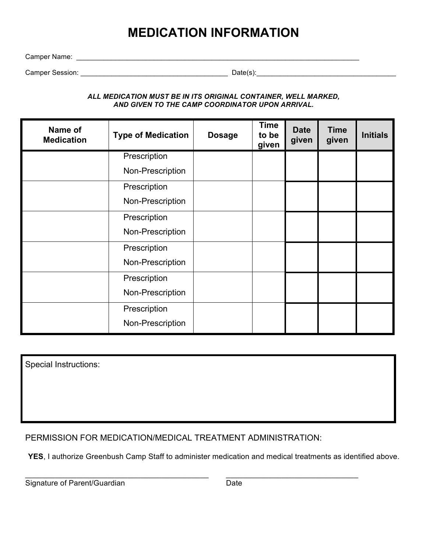## **MEDICATION INFORMATION**

Camper Name: \_\_\_\_\_\_\_\_\_\_\_\_\_\_\_\_\_\_\_\_\_\_\_\_\_\_\_\_\_\_\_\_\_\_\_\_\_\_\_\_\_\_\_\_\_\_\_\_\_\_\_\_\_\_\_\_\_\_\_\_\_\_\_\_\_\_\_\_\_\_\_\_\_

Camper Session: \_\_\_\_\_\_\_\_\_\_\_\_\_\_\_\_\_\_\_\_\_\_\_\_\_\_\_\_\_\_\_\_\_\_\_\_\_\_ Date(s):\_\_\_\_\_\_\_\_\_\_\_\_\_\_\_\_\_\_\_\_\_\_\_\_\_\_\_\_\_\_\_\_\_\_\_\_

*ALL MEDICATION MUST BE IN ITS ORIGINAL CONTAINER, WELL MARKED, AND GIVEN TO THE CAMP COORDINATOR UPON ARRIVAL.*

| Name of<br><b>Medication</b> | <b>Type of Medication</b> | <b>Dosage</b> | <b>Time</b><br>to be<br>given | <b>Date</b><br>given | <b>Time</b><br>given | <b>Initials</b> |
|------------------------------|---------------------------|---------------|-------------------------------|----------------------|----------------------|-----------------|
|                              | Prescription              |               |                               |                      |                      |                 |
|                              | Non-Prescription          |               |                               |                      |                      |                 |
|                              | Prescription              |               |                               |                      |                      |                 |
|                              | Non-Prescription          |               |                               |                      |                      |                 |
|                              | Prescription              |               |                               |                      |                      |                 |
|                              | Non-Prescription          |               |                               |                      |                      |                 |
|                              | Prescription              |               |                               |                      |                      |                 |
|                              | Non-Prescription          |               |                               |                      |                      |                 |
|                              | Prescription              |               |                               |                      |                      |                 |
|                              | Non-Prescription          |               |                               |                      |                      |                 |
|                              | Prescription              |               |                               |                      |                      |                 |
|                              | Non-Prescription          |               |                               |                      |                      |                 |

Special Instructions:

PERMISSION FOR MEDICATION/MEDICAL TREATMENT ADMINISTRATION:

YES, I authorize Greenbush Camp Staff to administer medication and medical treatments as identified above.

\_\_\_\_\_\_\_\_\_\_\_\_\_\_\_\_\_\_\_\_\_\_\_\_\_\_\_\_\_\_\_\_\_\_\_\_\_\_\_\_\_\_\_ \_\_\_\_\_\_\_\_\_\_\_\_\_\_\_\_\_\_\_\_\_\_\_\_\_\_\_\_\_\_\_ Signature of Parent/Guardian Date